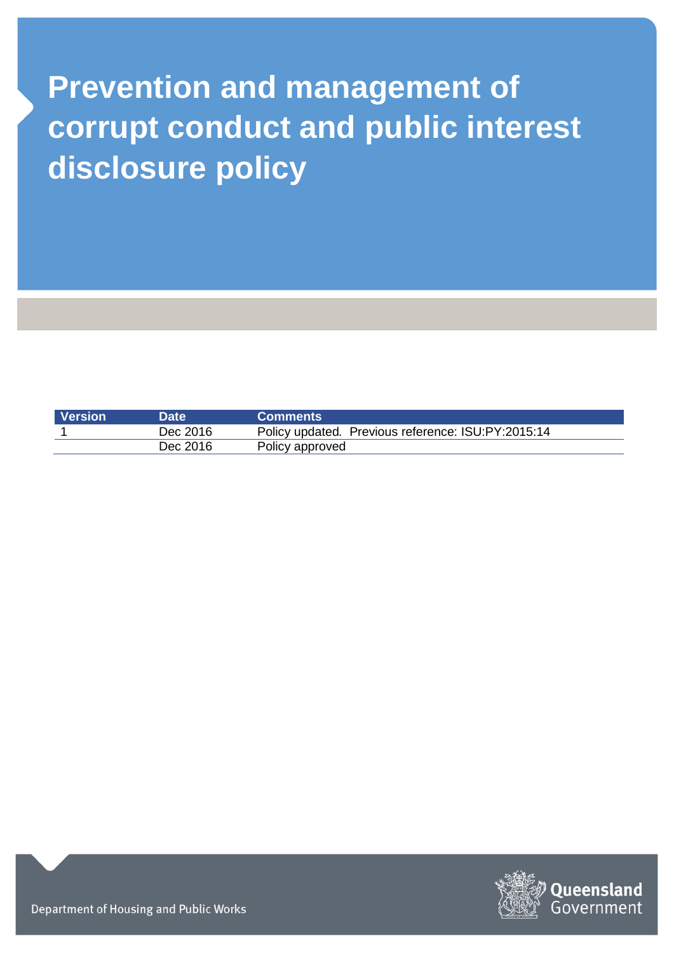# **Prevention and management of corrupt conduct and public interest disclosure policy**

| Version | Date \   | <b>Comments</b>                                    |
|---------|----------|----------------------------------------------------|
|         | Dec 2016 | Policy updated. Previous reference: ISU:PY:2015:14 |
|         | Dec 2016 | Policy approved                                    |

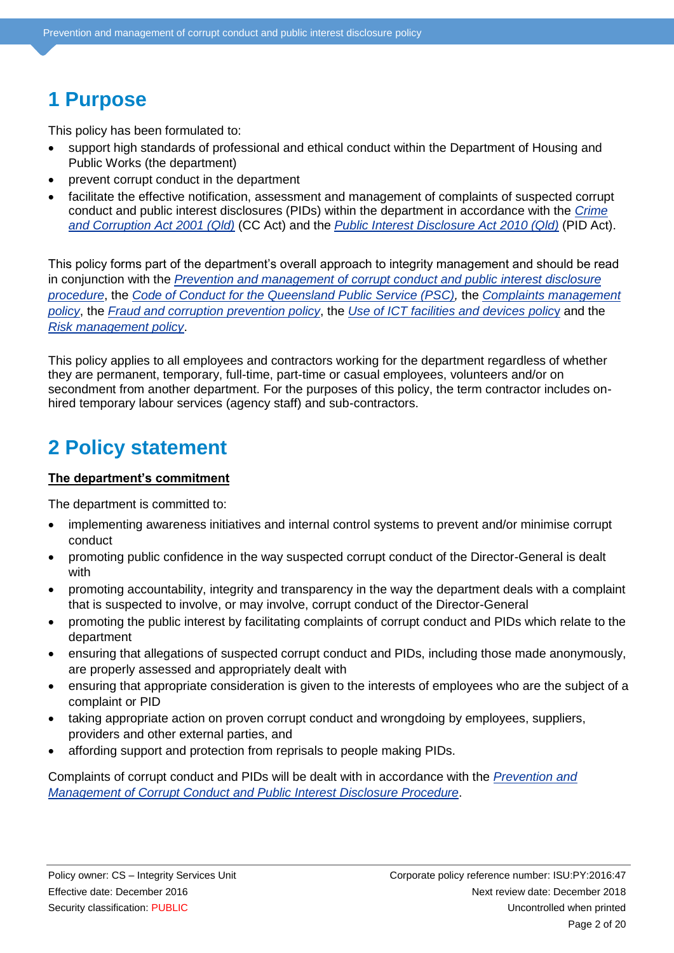## **1 Purpose**

This policy has been formulated to:

- support high standards of professional and ethical conduct within the Department of Housing and Public Works (the department)
- prevent corrupt conduct in the department
- facilitate the effective notification, assessment and management of complaints of suspected corrupt conduct and public interest disclosures (PIDs) within the department in accordance with the *[Crime](https://www.legislation.qld.gov.au/LEGISLTN/CURRENT/C/CrimeandCorruptionA01.pdf)  [and Corruption Act 2001 \(Qld\)](https://www.legislation.qld.gov.au/LEGISLTN/CURRENT/C/CrimeandCorruptionA01.pdf)* (CC Act) and the *[Public Interest Disclosure Act 2010 \(Qld\)](https://www.legislation.qld.gov.au/LEGISLTN/CURRENT/P/PubIntDisA10.pdf)* (PID Act).

This policy forms part of the department's overall approach to integrity management and should be read in conjunction with the *[Prevention and management of corrupt conduct and public interest disclosure](https://www.hpw.qld.gov.au/aboutus/Complaints/Pages/Default.aspx)  [procedure](https://www.hpw.qld.gov.au/aboutus/Complaints/Pages/Default.aspx)*, the *[Code of Conduct for the Queensland Public Service \(PSC\),](http://www.premiers.qld.gov.au/publications/categories/policies-and-codes/code-of-conduct.aspx)* the *[Complaints management](https://www.hpw.qld.gov.au/aboutus/Complaints/Pages/Default.aspx)  [policy](https://www.hpw.qld.gov.au/aboutus/Complaints/Pages/Default.aspx)*, the *[Fraud and corruption prevention policy](https://www.hpw.qld.gov.au/aboutus/Pages/default.aspx)*, the *[Use of ICT facilities and devices polic](https://hpwqld.sharepoint.com/sites/intranet/ResourceCentre/PoliciesProcedures/Pages/IT.aspx)*y and the *[Risk management policy](https://hpwqld.sharepoint.com/sites/intranet/ResourceCentre/PoliciesProcedures/Pages/Risk.aspx)*.

This policy applies to all employees and contractors working for the department regardless of whether they are permanent, temporary, full-time, part-time or casual employees, volunteers and/or on secondment from another department. For the purposes of this policy, the term contractor includes onhired temporary labour services (agency staff) and sub-contractors.

## **2 Policy statement**

#### **The department's commitment**

The department is committed to:

- implementing awareness initiatives and internal control systems to prevent and/or minimise corrupt conduct
- promoting public confidence in the way suspected corrupt conduct of the Director-General is dealt with
- promoting accountability, integrity and transparency in the way the department deals with a complaint that is suspected to involve, or may involve, corrupt conduct of the Director-General
- promoting the public interest by facilitating complaints of corrupt conduct and PIDs which relate to the department
- ensuring that allegations of suspected corrupt conduct and PIDs, including those made anonymously, are properly assessed and appropriately dealt with
- ensuring that appropriate consideration is given to the interests of employees who are the subject of a complaint or PID
- taking appropriate action on proven corrupt conduct and wrongdoing by employees, suppliers, providers and other external parties, and
- affording support and protection from reprisals to people making PIDs.

Complaints of corrupt conduct and PIDs will be dealt with in accordance with the *[Prevention and](https://www.hpw.qld.gov.au/aboutus/Complaints/Pages/Default.aspx)  [Management of Corrupt Conduct and Public Interest Disclosure Procedure](https://www.hpw.qld.gov.au/aboutus/Complaints/Pages/Default.aspx)*.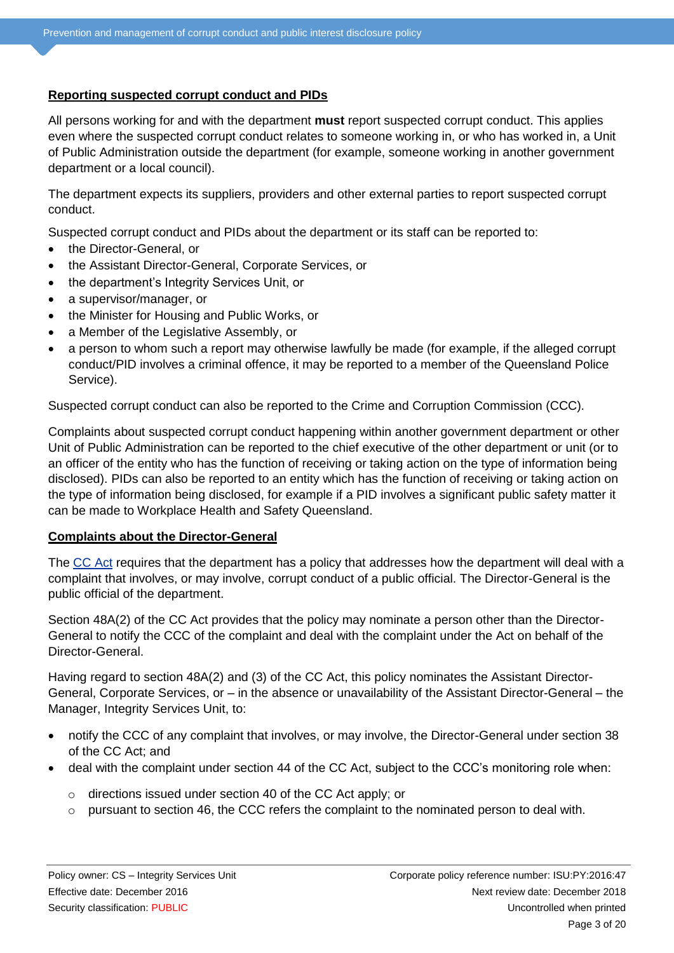#### **Reporting suspected corrupt conduct and PIDs**

All persons working for and with the department **must** report suspected corrupt conduct. This applies even where the suspected corrupt conduct relates to someone working in, or who has worked in, a Unit of Public Administration outside the department (for example, someone working in another government department or a local council).

The department expects its suppliers, providers and other external parties to report suspected corrupt conduct.

Suspected corrupt conduct and PIDs about the department or its staff can be reported to:

- the Director-General, or
- the Assistant Director-General, Corporate Services, or
- the department's Integrity Services Unit, or
- a supervisor/manager, or
- the Minister for Housing and Public Works, or
- a Member of the Legislative Assembly, or
- a person to whom such a report may otherwise lawfully be made (for example, if the alleged corrupt conduct/PID involves a criminal offence, it may be reported to a member of the Queensland Police Service).

Suspected corrupt conduct can also be reported to the Crime and Corruption Commission (CCC).

Complaints about suspected corrupt conduct happening within another government department or other Unit of Public Administration can be reported to the chief executive of the other department or unit (or to an officer of the entity who has the function of receiving or taking action on the type of information being disclosed). PIDs can also be reported to an entity which has the function of receiving or taking action on the type of information being disclosed, for example if a PID involves a significant public safety matter it can be made to Workplace Health and Safety Queensland.

#### **Complaints about the Director-General**

The [CC](https://www.legislation.qld.gov.au/LEGISLTN/CURRENT/C/CrimeandCorruptionA01.pdf) Act requires that the department has a policy that addresses how the department will deal with a complaint that involves, or may involve, corrupt conduct of a public official. The Director-General is the public official of the department.

Section 48A(2) of the CC Act provides that the policy may nominate a person other than the Director-General to notify the CCC of the complaint and deal with the complaint under the Act on behalf of the Director-General.

Having regard to section 48A(2) and (3) of the CC Act, this policy nominates the Assistant Director-General, Corporate Services, or – in the absence or unavailability of the Assistant Director-General – the Manager, Integrity Services Unit, to:

- notify the CCC of any complaint that involves, or may involve, the Director-General under section 38 of the CC Act; and
- deal with the complaint under section 44 of the CC Act, subject to the CCC's monitoring role when:
	- o directions issued under section 40 of the CC Act apply; or
	- o pursuant to section 46, the CCC refers the complaint to the nominated person to deal with.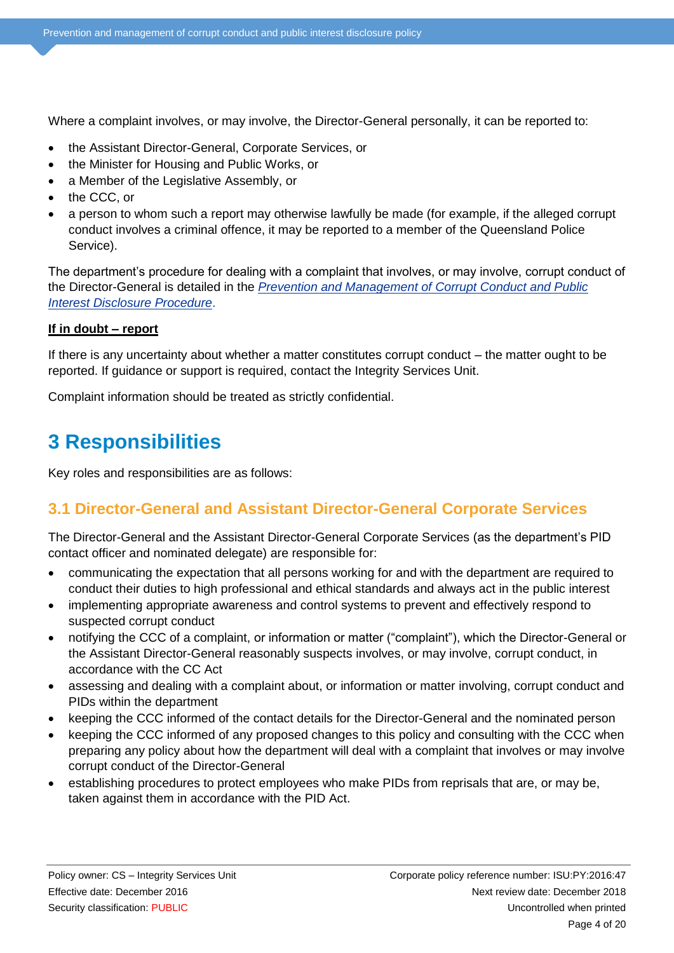Where a complaint involves, or may involve, the Director-General personally, it can be reported to:

- the Assistant Director-General, Corporate Services, or
- the Minister for Housing and Public Works, or
- a Member of the Legislative Assembly, or
- the CCC, or
- a person to whom such a report may otherwise lawfully be made (for example, if the alleged corrupt conduct involves a criminal offence, it may be reported to a member of the Queensland Police Service).

The department's procedure for dealing with a complaint that involves, or may involve, corrupt conduct of the Director-General is detailed in the *[Prevention and Management of Corrupt Conduct and Public](https://www.hpw.qld.gov.au/aboutus/Complaints/Pages/Default.aspx)  [Interest Disclosure Procedure](https://www.hpw.qld.gov.au/aboutus/Complaints/Pages/Default.aspx)*.

#### **If in doubt – report**

If there is any uncertainty about whether a matter constitutes corrupt conduct – the matter ought to be reported. If guidance or support is required, contact the Integrity Services Unit.

Complaint information should be treated as strictly confidential.

## **3 Responsibilities**

Key roles and responsibilities are as follows:

## **3.1 Director-General and Assistant Director-General Corporate Services**

The Director-General and the Assistant Director-General Corporate Services (as the department's PID contact officer and nominated delegate) are responsible for:

- communicating the expectation that all persons working for and with the department are required to conduct their duties to high professional and ethical standards and always act in the public interest
- implementing appropriate awareness and control systems to prevent and effectively respond to suspected corrupt conduct
- notifying the CCC of a complaint, or information or matter ("complaint"), which the Director-General or the Assistant Director-General reasonably suspects involves, or may involve, corrupt conduct, in accordance with the CC Act
- assessing and dealing with a complaint about, or information or matter involving, corrupt conduct and PIDs within the department
- keeping the CCC informed of the contact details for the Director-General and the nominated person
- keeping the CCC informed of any proposed changes to this policy and consulting with the CCC when preparing any policy about how the department will deal with a complaint that involves or may involve corrupt conduct of the Director-General
- establishing procedures to protect employees who make PIDs from reprisals that are, or may be, taken against them in accordance with the PID Act.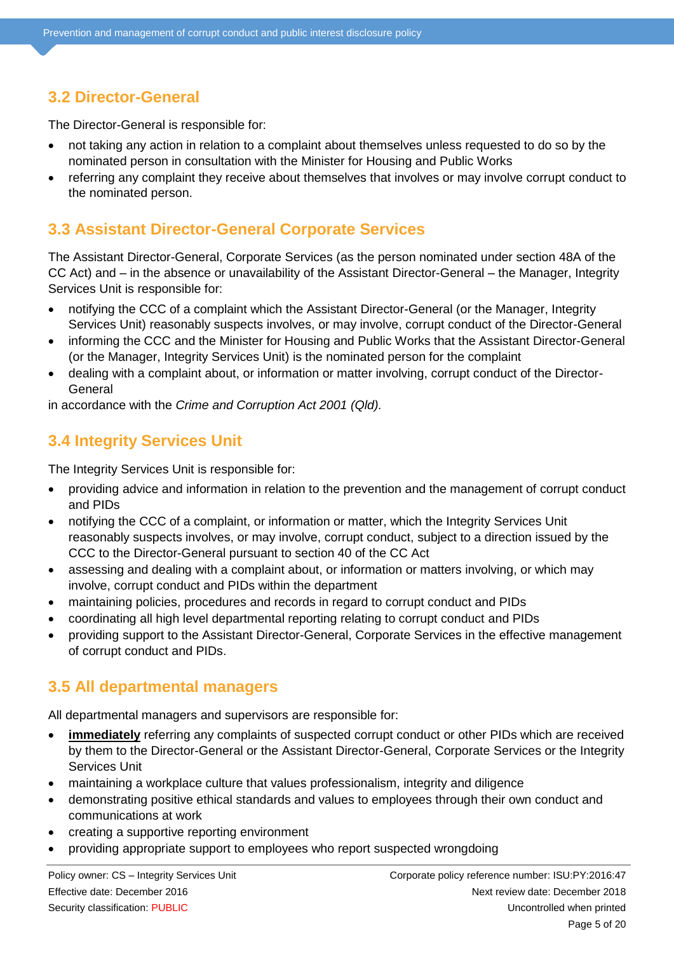## **3.2 Director-General**

The Director-General is responsible for:

- not taking any action in relation to a complaint about themselves unless requested to do so by the nominated person in consultation with the Minister for Housing and Public Works
- referring any complaint they receive about themselves that involves or may involve corrupt conduct to the nominated person.

### **3.3 Assistant Director-General Corporate Services**

The Assistant Director-General, Corporate Services (as the person nominated under section 48A of the CC Act) and – in the absence or unavailability of the Assistant Director-General – the Manager, Integrity Services Unit is responsible for:

- notifying the CCC of a complaint which the Assistant Director-General (or the Manager, Integrity Services Unit) reasonably suspects involves, or may involve, corrupt conduct of the Director-General
- informing the CCC and the Minister for Housing and Public Works that the Assistant Director-General (or the Manager, Integrity Services Unit) is the nominated person for the complaint
- dealing with a complaint about, or information or matter involving, corrupt conduct of the Director-**General**

in accordance with the *Crime and Corruption Act 2001 (Qld).*

### **3.4 Integrity Services Unit**

The Integrity Services Unit is responsible for:

- providing advice and information in relation to the prevention and the management of corrupt conduct and PIDs
- notifying the CCC of a complaint, or information or matter, which the Integrity Services Unit reasonably suspects involves, or may involve, corrupt conduct, subject to a direction issued by the CCC to the Director-General pursuant to section 40 of the CC Act
- assessing and dealing with a complaint about, or information or matters involving, or which may involve, corrupt conduct and PIDs within the department
- maintaining policies, procedures and records in regard to corrupt conduct and PIDs
- coordinating all high level departmental reporting relating to corrupt conduct and PIDs
- providing support to the Assistant Director-General, Corporate Services in the effective management of corrupt conduct and PIDs.

### **3.5 All departmental managers**

All departmental managers and supervisors are responsible for:

- **immediately** referring any complaints of suspected corrupt conduct or other PIDs which are received by them to the Director-General or the Assistant Director-General, Corporate Services or the Integrity Services Unit
- maintaining a workplace culture that values professionalism, integrity and diligence
- demonstrating positive ethical standards and values to employees through their own conduct and communications at work
- creating a supportive reporting environment
- providing appropriate support to employees who report suspected wrongdoing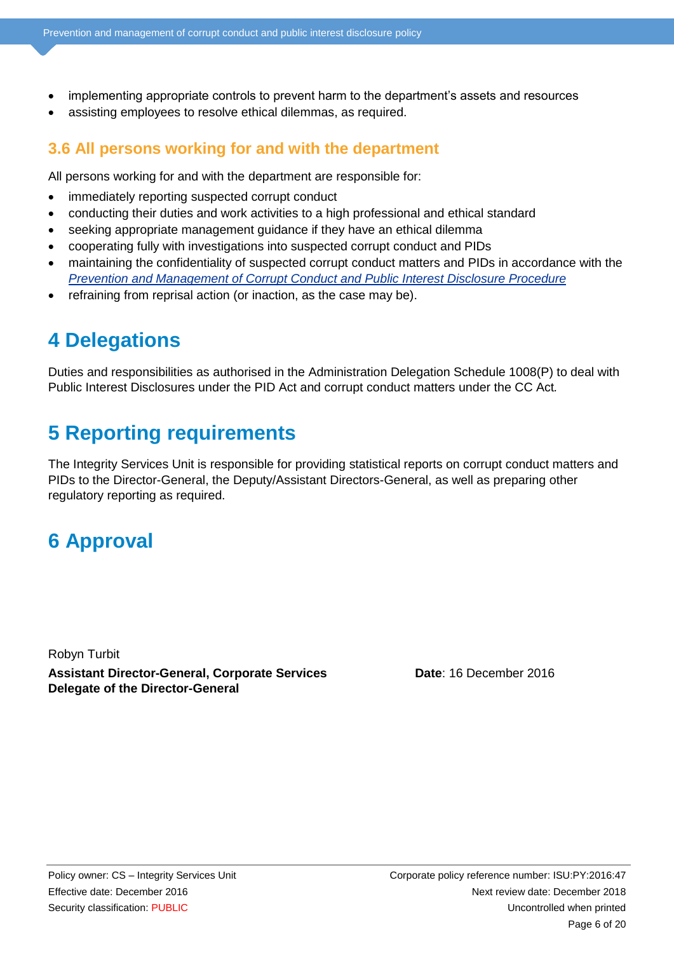- implementing appropriate controls to prevent harm to the department's assets and resources
- assisting employees to resolve ethical dilemmas, as required.

## **3.6 All persons working for and with the department**

All persons working for and with the department are responsible for:

- immediately reporting suspected corrupt conduct
- conducting their duties and work activities to a high professional and ethical standard
- seeking appropriate management guidance if they have an ethical dilemma
- cooperating fully with investigations into suspected corrupt conduct and PIDs
- maintaining the confidentiality of suspected corrupt conduct matters and PIDs in accordance with the *[Prevention and Management of Corrupt Conduct and Public Interest Disclosure Procedure](https://www.hpw.qld.gov.au/aboutus/Complaints/Pages/Default.aspx)*
- refraining from reprisal action (or inaction, as the case may be).

## **4 Delegations**

Duties and responsibilities as authorised in the Administration Delegation Schedule 1008(P) to deal with Public Interest Disclosures under the PID Act and corrupt conduct matters under the CC Act*.*

## **5 Reporting requirements**

The Integrity Services Unit is responsible for providing statistical reports on corrupt conduct matters and PIDs to the Director-General, the Deputy/Assistant Directors-General, as well as preparing other regulatory reporting as required.

## **6 Approval**

Robyn Turbit **Assistant Director-General, Corporate Services Date: 16 December 2016 Delegate of the Director-General**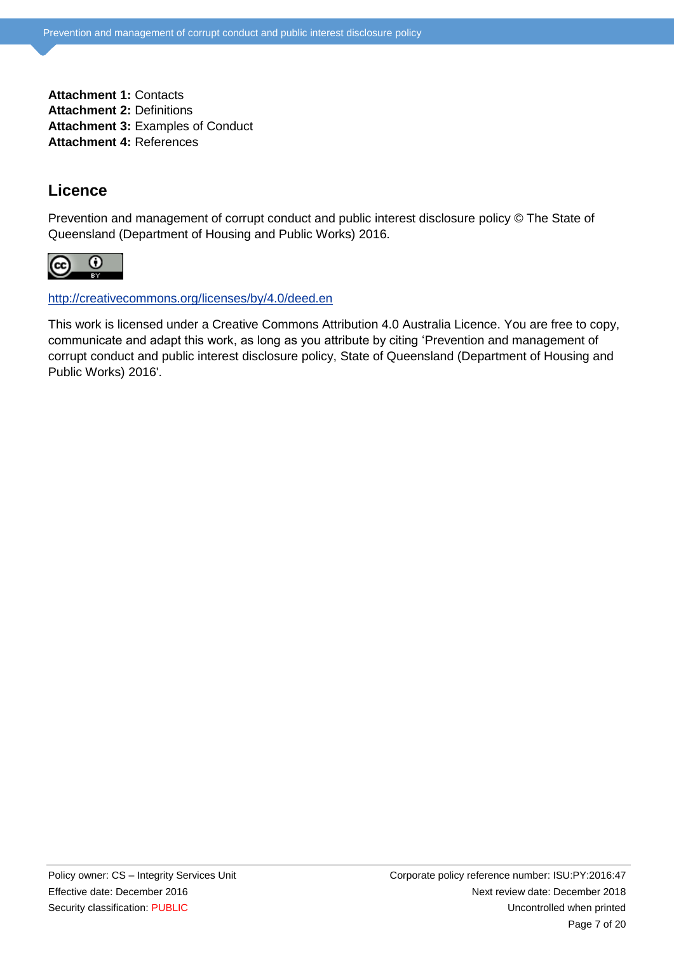**Attachment 1:** Contacts **Attachment 2:** Definitions **Attachment 3:** Examples of Conduct **Attachment 4:** References

### **Licence**

Prevention and management of corrupt conduct and public interest disclosure policy © The State of Queensland (Department of Housing and Public Works) 2016.



<http://creativecommons.org/licenses/by/4.0/deed.en>

This work is licensed under a Creative Commons Attribution 4.0 Australia Licence. You are free to copy, communicate and adapt this work, as long as you attribute by citing 'Prevention and management of corrupt conduct and public interest disclosure policy, State of Queensland (Department of Housing and Public Works) 2016'.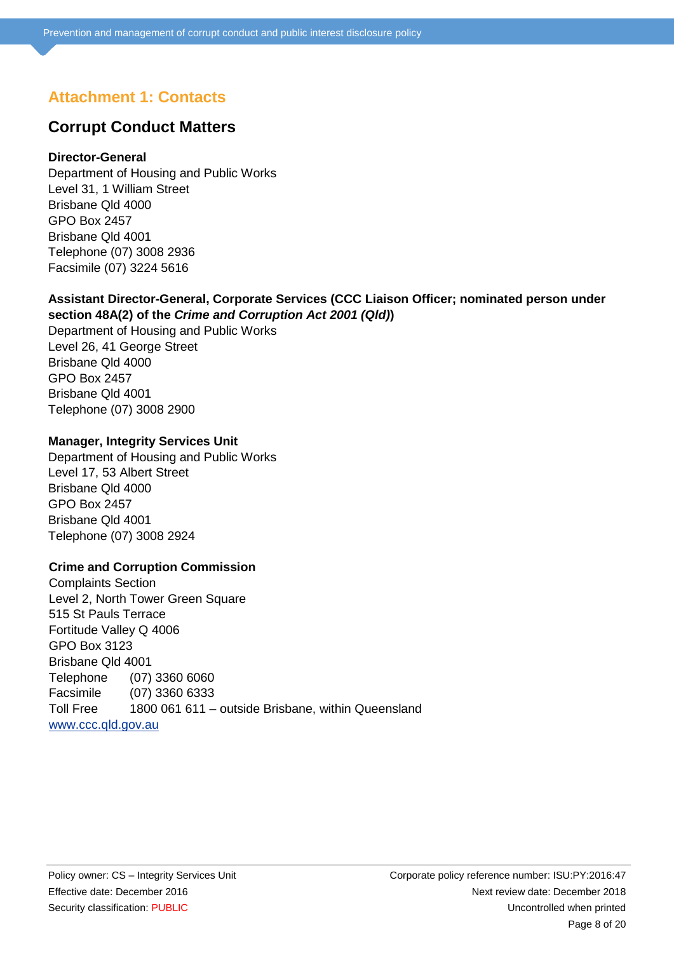## **Attachment 1: Contacts**

## **Corrupt Conduct Matters**

#### **Director-General**

Department of Housing and Public Works Level 31, 1 William Street Brisbane Qld 4000 GPO Box 2457 Brisbane Qld 4001 Telephone (07) 3008 2936 Facsimile (07) 3224 5616

#### **Assistant Director-General, Corporate Services (CCC Liaison Officer; nominated person under section 48A(2) of the** *Crime and Corruption Act 2001 (Qld)***)**

Department of Housing and Public Works Level 26, 41 George Street Brisbane Qld 4000 GPO Box 2457 Brisbane Qld 4001 Telephone (07) 3008 2900

#### **Manager, Integrity Services Unit**

Department of Housing and Public Works Level 17, 53 Albert Street Brisbane Qld 4000 GPO Box 2457 Brisbane Qld 4001 Telephone (07) 3008 2924

#### **Crime and Corruption Commission**

Complaints Section Level 2, North Tower Green Square 515 St Pauls Terrace Fortitude Valley Q 4006 GPO Box 3123 Brisbane Qld 4001 Telephone (07) 3360 6060 Facsimile (07) 3360 6333 Toll Free 1800 061 611 – outside Brisbane, within Queensland [www.ccc.qld.gov.au](http://www.ccc.qld.gov.au/)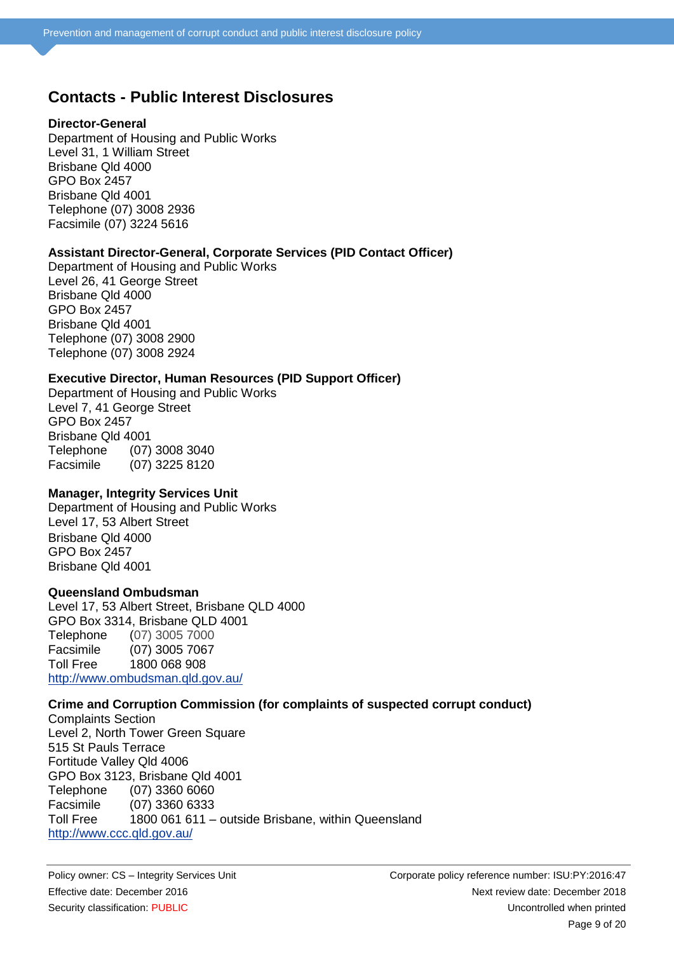### **[Contacts](http://www.ccc.qld.gov.au/Contacts) - Public Interest Disclosures**

#### **Director-General**

Department of Housing and Public Works Level 31, 1 William Street Brisbane Qld 4000 GPO Box 2457 Brisbane Qld 4001 Telephone (07) 3008 2936 Facsimile (07) 3224 5616

#### **Assistant Director-General, Corporate Services (PID Contact Officer)**

Department of Housing and Public Works Level 26, 41 George Street Brisbane Qld 4000 GPO Box 2457 Brisbane Qld 4001 Telephone (07) 3008 2900 Telephone (07) 3008 2924

#### **Executive Director, Human Resources (PID Support Officer)**

Department of Housing and Public Works Level 7, 41 George Street GPO Box 2457 Brisbane Qld 4001 Telephone (07) 3008 3040 Facsimile (07) 3225 8120

#### **Manager, Integrity Services Unit**

Department of Housing and Public Works Level 17, 53 Albert Street Brisbane Old 4000 GPO Box 2457 Brisbane Qld 4001

#### **Queensland Ombudsman**

Level 17, 53 Albert Street, Brisbane QLD 4000 GPO Box 3314, Brisbane QLD 4001 Telephone (07) 3005 7000 Facsimile (07) 3005 7067 Toll Free 1800 068 908 <http://www.ombudsman.qld.gov.au/>

#### **Crime and Corruption Commission (for complaints of suspected corrupt conduct)**

Complaints Section Level 2, North Tower Green Square 515 St Pauls Terrace Fortitude Valley Qld 4006 GPO Box 3123, Brisbane Qld 4001 Telephone (07) 3360 6060 Facsimile (07) 3360 6333 Toll Free 1800 061 611 – outside Brisbane, within Queensland <http://www.ccc.qld.gov.au/>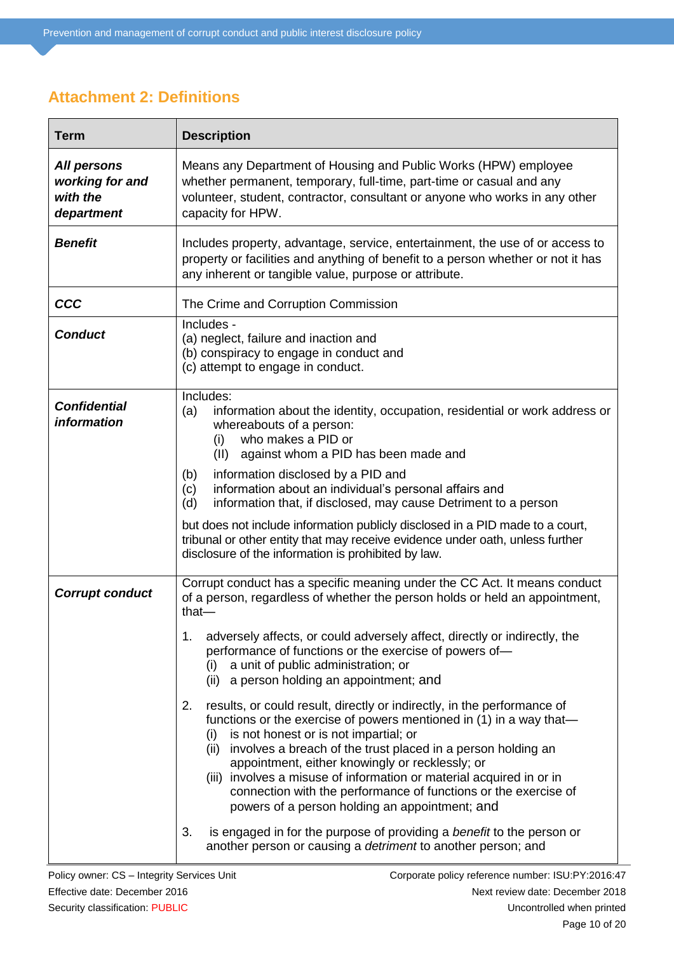## **Attachment 2: Definitions**

| <b>Term</b>                                              | <b>Description</b>                                                                                                                                                                                                                                                                                                                                                                                                                                                                                                                                                                                       |  |
|----------------------------------------------------------|----------------------------------------------------------------------------------------------------------------------------------------------------------------------------------------------------------------------------------------------------------------------------------------------------------------------------------------------------------------------------------------------------------------------------------------------------------------------------------------------------------------------------------------------------------------------------------------------------------|--|
| All persons<br>working for and<br>with the<br>department | Means any Department of Housing and Public Works (HPW) employee<br>whether permanent, temporary, full-time, part-time or casual and any<br>volunteer, student, contractor, consultant or anyone who works in any other<br>capacity for HPW.                                                                                                                                                                                                                                                                                                                                                              |  |
| <b>Benefit</b>                                           | Includes property, advantage, service, entertainment, the use of or access to<br>property or facilities and anything of benefit to a person whether or not it has<br>any inherent or tangible value, purpose or attribute.                                                                                                                                                                                                                                                                                                                                                                               |  |
| <b>CCC</b>                                               | The Crime and Corruption Commission                                                                                                                                                                                                                                                                                                                                                                                                                                                                                                                                                                      |  |
| <b>Conduct</b>                                           | Includes -<br>(a) neglect, failure and inaction and<br>(b) conspiracy to engage in conduct and<br>(c) attempt to engage in conduct.                                                                                                                                                                                                                                                                                                                                                                                                                                                                      |  |
| <b>Confidential</b><br><i>information</i>                | Includes:<br>(a)<br>information about the identity, occupation, residential or work address or<br>whereabouts of a person:<br>who makes a PID or<br>(i)<br>against whom a PID has been made and<br>(II)                                                                                                                                                                                                                                                                                                                                                                                                  |  |
|                                                          | information disclosed by a PID and<br>(b)<br>information about an individual's personal affairs and<br>(c)<br>information that, if disclosed, may cause Detriment to a person<br>(d)                                                                                                                                                                                                                                                                                                                                                                                                                     |  |
|                                                          | but does not include information publicly disclosed in a PID made to a court,<br>tribunal or other entity that may receive evidence under oath, unless further<br>disclosure of the information is prohibited by law.                                                                                                                                                                                                                                                                                                                                                                                    |  |
| <b>Corrupt conduct</b>                                   | Corrupt conduct has a specific meaning under the CC Act. It means conduct<br>of a person, regardless of whether the person holds or held an appointment,<br>that-                                                                                                                                                                                                                                                                                                                                                                                                                                        |  |
|                                                          | 1.<br>adversely affects, or could adversely affect, directly or indirectly, the<br>performance of functions or the exercise of powers of-<br>a unit of public administration; or<br>(i)<br>(ii) a person holding an appointment; and                                                                                                                                                                                                                                                                                                                                                                     |  |
|                                                          | 2.<br>results, or could result, directly or indirectly, in the performance of<br>functions or the exercise of powers mentioned in (1) in a way that-<br>is not honest or is not impartial; or<br>(i)<br>(ii) involves a breach of the trust placed in a person holding an<br>appointment, either knowingly or recklessly; or<br>(iii) involves a misuse of information or material acquired in or in<br>connection with the performance of functions or the exercise of<br>powers of a person holding an appointment; and<br>3.<br>is engaged in for the purpose of providing a benefit to the person or |  |
|                                                          | another person or causing a <i>detriment</i> to another person; and                                                                                                                                                                                                                                                                                                                                                                                                                                                                                                                                      |  |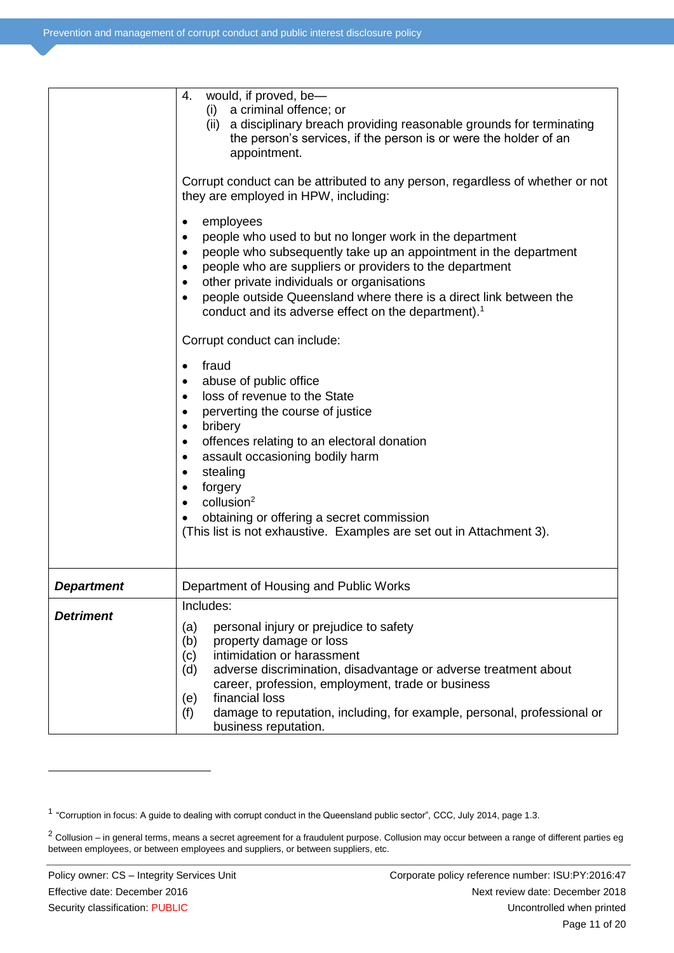|                   | would, if proved, be-<br>4.<br>(i) a criminal offence; or<br>(ii) a disciplinary breach providing reasonable grounds for terminating<br>the person's services, if the person is or were the holder of an<br>appointment.<br>Corrupt conduct can be attributed to any person, regardless of whether or not<br>they are employed in HPW, including:<br>employees<br>٠<br>people who used to but no longer work in the department<br>$\bullet$<br>people who subsequently take up an appointment in the department<br>$\bullet$<br>people who are suppliers or providers to the department<br>other private individuals or organisations<br>people outside Queensland where there is a direct link between the<br>conduct and its adverse effect on the department). <sup>1</sup><br>Corrupt conduct can include:<br>fraud<br>$\bullet$<br>abuse of public office<br>$\bullet$<br>loss of revenue to the State<br>$\bullet$<br>perverting the course of justice<br>٠<br>bribery<br>$\bullet$<br>offences relating to an electoral donation<br>$\bullet$<br>assault occasioning bodily harm<br>٠<br>stealing<br>forgery<br>$\bullet$<br>collusion <sup>2</sup><br>obtaining or offering a secret commission<br>(This list is not exhaustive. Examples are set out in Attachment 3). |
|-------------------|---------------------------------------------------------------------------------------------------------------------------------------------------------------------------------------------------------------------------------------------------------------------------------------------------------------------------------------------------------------------------------------------------------------------------------------------------------------------------------------------------------------------------------------------------------------------------------------------------------------------------------------------------------------------------------------------------------------------------------------------------------------------------------------------------------------------------------------------------------------------------------------------------------------------------------------------------------------------------------------------------------------------------------------------------------------------------------------------------------------------------------------------------------------------------------------------------------------------------------------------------------------------------------|
| <b>Department</b> | Department of Housing and Public Works                                                                                                                                                                                                                                                                                                                                                                                                                                                                                                                                                                                                                                                                                                                                                                                                                                                                                                                                                                                                                                                                                                                                                                                                                                          |
| <b>Detriment</b>  | Includes:<br>(a)<br>personal injury or prejudice to safety<br>(b)<br>property damage or loss<br>intimidation or harassment<br>(c)<br>adverse discrimination, disadvantage or adverse treatment about<br>(d)<br>career, profession, employment, trade or business<br>financial loss<br>(e)<br>damage to reputation, including, for example, personal, professional or<br>(f)<br>business reputation.                                                                                                                                                                                                                                                                                                                                                                                                                                                                                                                                                                                                                                                                                                                                                                                                                                                                             |

 $\overline{a}$ 

 $1$  "Corruption in focus: A guide to dealing with corrupt conduct in the Queensland public sector", CCC, July 2014, page 1.3.

<sup>&</sup>lt;sup>2</sup> Collusion – in general terms, means a secret agreement for a fraudulent purpose. Collusion may occur between a range of different parties eg between employees, or between employees and suppliers, or between suppliers, etc.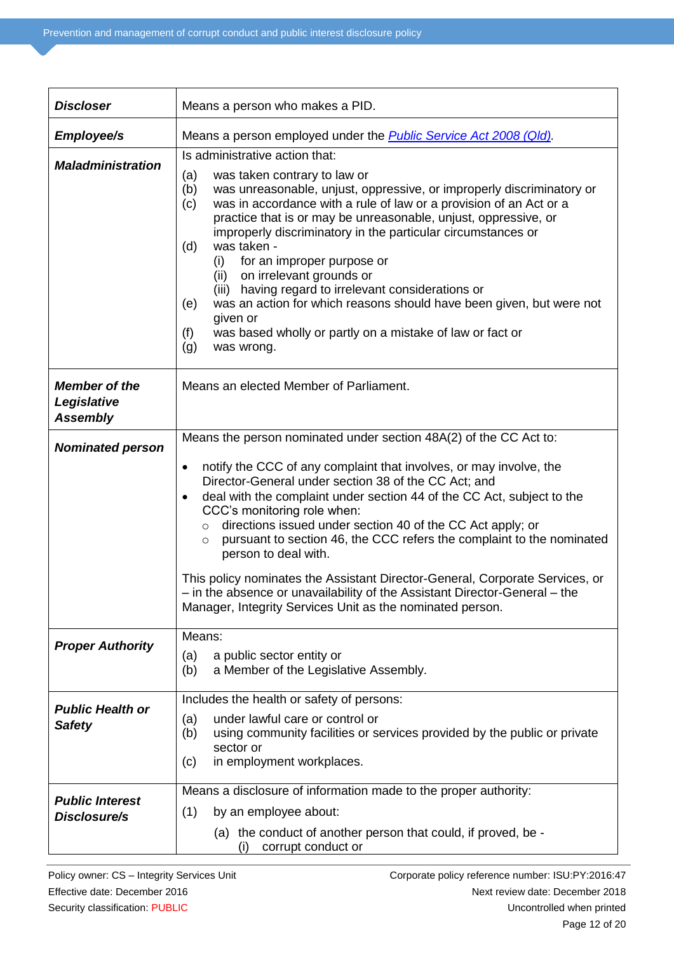| <b>Discloser</b>                                       | Means a person who makes a PID.                                                                                                                                                                                                                                                                                                                                                                                                                                                                                                                                                                                                                                                                                                            |  |
|--------------------------------------------------------|--------------------------------------------------------------------------------------------------------------------------------------------------------------------------------------------------------------------------------------------------------------------------------------------------------------------------------------------------------------------------------------------------------------------------------------------------------------------------------------------------------------------------------------------------------------------------------------------------------------------------------------------------------------------------------------------------------------------------------------------|--|
| <b>Employee/s</b>                                      | Means a person employed under the <b>Public Service Act 2008 (Qld)</b> .                                                                                                                                                                                                                                                                                                                                                                                                                                                                                                                                                                                                                                                                   |  |
| <b>Maladministration</b>                               | Is administrative action that:<br>(a)<br>was taken contrary to law or<br>was unreasonable, unjust, oppressive, or improperly discriminatory or<br>(b)<br>was in accordance with a rule of law or a provision of an Act or a<br>(c)<br>practice that is or may be unreasonable, unjust, oppressive, or<br>improperly discriminatory in the particular circumstances or<br>(d)<br>was taken -<br>for an improper purpose or<br>(i)<br>on irrelevant grounds or<br>(ii)<br>having regard to irrelevant considerations or<br>(iii)<br>was an action for which reasons should have been given, but were not<br>(e)<br>given or<br>was based wholly or partly on a mistake of law or fact or<br>(f)<br>(g)<br>was wrong.                         |  |
| <b>Member of the</b><br>Legislative<br><b>Assembly</b> | Means an elected Member of Parliament.                                                                                                                                                                                                                                                                                                                                                                                                                                                                                                                                                                                                                                                                                                     |  |
| <b>Nominated person</b>                                | Means the person nominated under section 48A(2) of the CC Act to:<br>notify the CCC of any complaint that involves, or may involve, the<br>$\bullet$<br>Director-General under section 38 of the CC Act; and<br>deal with the complaint under section 44 of the CC Act, subject to the<br>٠<br>CCC's monitoring role when:<br>directions issued under section 40 of the CC Act apply; or<br>$\circ$<br>pursuant to section 46, the CCC refers the complaint to the nominated<br>$\circ$<br>person to deal with.<br>This policy nominates the Assistant Director-General, Corporate Services, or<br>- in the absence or unavailability of the Assistant Director-General - the<br>Manager, Integrity Services Unit as the nominated person. |  |
| <b>Proper Authority</b>                                | Means:<br>a public sector entity or<br>(a)<br>a Member of the Legislative Assembly.<br>(b)                                                                                                                                                                                                                                                                                                                                                                                                                                                                                                                                                                                                                                                 |  |
| <b>Public Health or</b><br><b>Safety</b>               | Includes the health or safety of persons:<br>under lawful care or control or<br>(a)<br>using community facilities or services provided by the public or private<br>(b)<br>sector or<br>in employment workplaces.<br>(c)                                                                                                                                                                                                                                                                                                                                                                                                                                                                                                                    |  |
| <b>Public Interest</b><br>Disclosure/s                 | Means a disclosure of information made to the proper authority:<br>by an employee about:<br>(1)<br>(a) the conduct of another person that could, if proved, be -<br>corrupt conduct or<br>(i)                                                                                                                                                                                                                                                                                                                                                                                                                                                                                                                                              |  |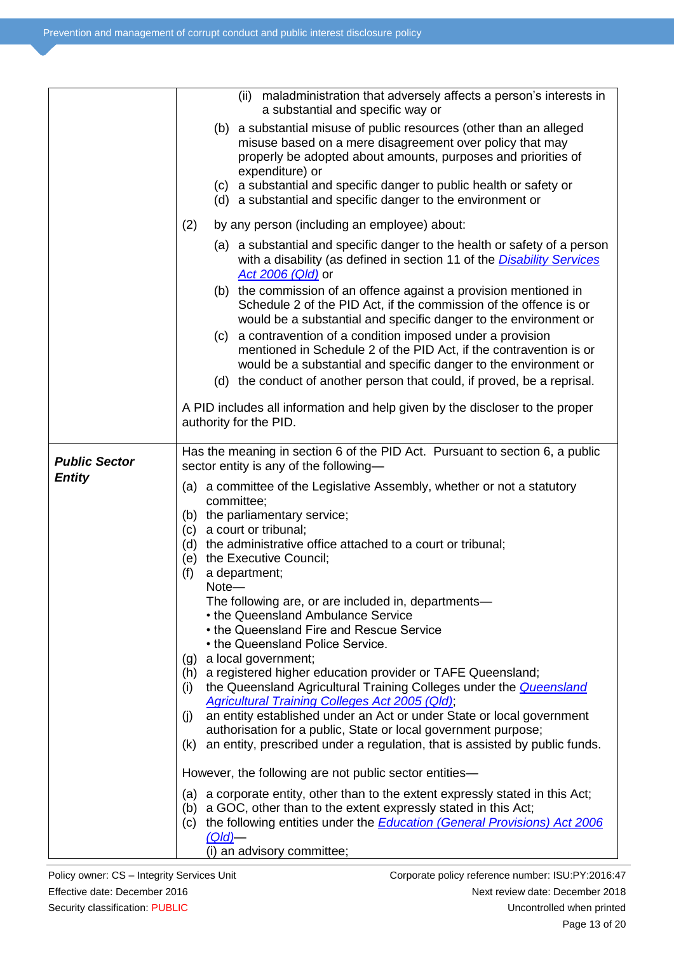|                                       | maladministration that adversely affects a person's interests in<br>(ii)<br>a substantial and specific way or                                                                                                                                                                                                                                             |  |
|---------------------------------------|-----------------------------------------------------------------------------------------------------------------------------------------------------------------------------------------------------------------------------------------------------------------------------------------------------------------------------------------------------------|--|
|                                       | (b) a substantial misuse of public resources (other than an alleged<br>misuse based on a mere disagreement over policy that may<br>properly be adopted about amounts, purposes and priorities of<br>expenditure) or<br>(c) a substantial and specific danger to public health or safety or<br>(d) a substantial and specific danger to the environment or |  |
|                                       | (2)<br>by any person (including an employee) about:                                                                                                                                                                                                                                                                                                       |  |
|                                       | (a) a substantial and specific danger to the health or safety of a person<br>with a disability (as defined in section 11 of the <i>Disability Services</i><br><b>Act 2006 (Qld)</b> or                                                                                                                                                                    |  |
|                                       | (b) the commission of an offence against a provision mentioned in<br>Schedule 2 of the PID Act, if the commission of the offence is or<br>would be a substantial and specific danger to the environment or                                                                                                                                                |  |
|                                       | (c) a contravention of a condition imposed under a provision<br>mentioned in Schedule 2 of the PID Act, if the contravention is or<br>would be a substantial and specific danger to the environment or<br>(d) the conduct of another person that could, if proved, be a reprisal.                                                                         |  |
|                                       | A PID includes all information and help given by the discloser to the proper<br>authority for the PID.                                                                                                                                                                                                                                                    |  |
| <b>Public Sector</b><br><b>Entity</b> | Has the meaning in section 6 of the PID Act. Pursuant to section 6, a public<br>sector entity is any of the following-                                                                                                                                                                                                                                    |  |
|                                       | (a) a committee of the Legislative Assembly, whether or not a statutory<br>committee;<br>the parliamentary service;<br>(b)<br>a court or tribunal;<br>(c)<br>(d) the administrative office attached to a court or tribunal;<br>(e) the Executive Council;<br>(f)<br>a department;<br>Note-                                                                |  |
|                                       | The following are, or are included in, departments—<br>• the Queensland Ambulance Service<br>• the Queensland Fire and Rescue Service<br>• the Queensland Police Service.                                                                                                                                                                                 |  |
|                                       | a local government;<br>(g)<br>(h) a registered higher education provider or TAFE Queensland;<br>the Queensland Agricultural Training Colleges under the <b>Queensland</b><br>(i)<br><b>Agricultural Training Colleges Act 2005 (Qld),</b>                                                                                                                 |  |
|                                       | an entity established under an Act or under State or local government<br>(j)<br>authorisation for a public, State or local government purpose;<br>an entity, prescribed under a regulation, that is assisted by public funds.<br>(k)                                                                                                                      |  |
|                                       | However, the following are not public sector entities—                                                                                                                                                                                                                                                                                                    |  |
|                                       | (a) a corporate entity, other than to the extent expressly stated in this Act;<br>a GOC, other than to the extent expressly stated in this Act;<br>(b)<br>the following entities under the <b>Education (General Provisions) Act 2006</b><br>(c)<br><u>(Qld)—</u><br>(i) an advisory committee;                                                           |  |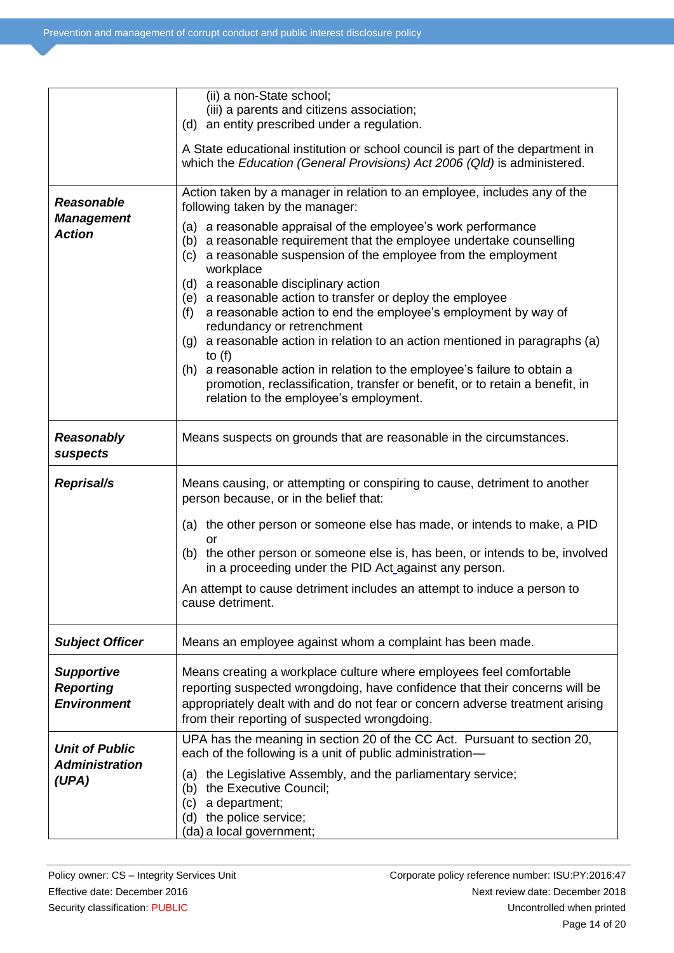|                                                             | (ii) a non-State school;<br>(iii) a parents and citizens association;<br>an entity prescribed under a regulation.<br>(d)                                                                                                                                                                                                                                                                                                                                                                                                                                                                                                                                                                                                                       |
|-------------------------------------------------------------|------------------------------------------------------------------------------------------------------------------------------------------------------------------------------------------------------------------------------------------------------------------------------------------------------------------------------------------------------------------------------------------------------------------------------------------------------------------------------------------------------------------------------------------------------------------------------------------------------------------------------------------------------------------------------------------------------------------------------------------------|
|                                                             | A State educational institution or school council is part of the department in<br>which the Education (General Provisions) Act 2006 (Qld) is administered.                                                                                                                                                                                                                                                                                                                                                                                                                                                                                                                                                                                     |
| <b>Reasonable</b>                                           | Action taken by a manager in relation to an employee, includes any of the<br>following taken by the manager:                                                                                                                                                                                                                                                                                                                                                                                                                                                                                                                                                                                                                                   |
| <b>Management</b><br><b>Action</b>                          | (a) a reasonable appraisal of the employee's work performance<br>a reasonable requirement that the employee undertake counselling<br>(b)<br>a reasonable suspension of the employee from the employment<br>(c)<br>workplace<br>(d) a reasonable disciplinary action<br>(e) a reasonable action to transfer or deploy the employee<br>a reasonable action to end the employee's employment by way of<br>(f)<br>redundancy or retrenchment<br>(g) a reasonable action in relation to an action mentioned in paragraphs (a)<br>to $(f)$<br>a reasonable action in relation to the employee's failure to obtain a<br>(h)<br>promotion, reclassification, transfer or benefit, or to retain a benefit, in<br>relation to the employee's employment. |
| Reasonably<br>suspects                                      | Means suspects on grounds that are reasonable in the circumstances.                                                                                                                                                                                                                                                                                                                                                                                                                                                                                                                                                                                                                                                                            |
| <b>Reprisal/s</b>                                           | Means causing, or attempting or conspiring to cause, detriment to another<br>person because, or in the belief that:                                                                                                                                                                                                                                                                                                                                                                                                                                                                                                                                                                                                                            |
|                                                             | (a) the other person or someone else has made, or intends to make, a PID<br>or                                                                                                                                                                                                                                                                                                                                                                                                                                                                                                                                                                                                                                                                 |
|                                                             | (b) the other person or someone else is, has been, or intends to be, involved<br>in a proceeding under the PID Act against any person.                                                                                                                                                                                                                                                                                                                                                                                                                                                                                                                                                                                                         |
|                                                             | An attempt to cause detriment includes an attempt to induce a person to<br>cause detriment.                                                                                                                                                                                                                                                                                                                                                                                                                                                                                                                                                                                                                                                    |
| <b>Subject Officer</b>                                      | Means an employee against whom a complaint has been made.                                                                                                                                                                                                                                                                                                                                                                                                                                                                                                                                                                                                                                                                                      |
| <b>Supportive</b><br><b>Reporting</b><br><b>Environment</b> | Means creating a workplace culture where employees feel comfortable<br>reporting suspected wrongdoing, have confidence that their concerns will be<br>appropriately dealt with and do not fear or concern adverse treatment arising<br>from their reporting of suspected wrongdoing.                                                                                                                                                                                                                                                                                                                                                                                                                                                           |
| <b>Unit of Public</b><br><b>Administration</b><br>(UPA)     | UPA has the meaning in section 20 of the CC Act. Pursuant to section 20,<br>each of the following is a unit of public administration-                                                                                                                                                                                                                                                                                                                                                                                                                                                                                                                                                                                                          |
|                                                             | (a) the Legislative Assembly, and the parliamentary service;<br>the Executive Council;<br>(b)<br>a department;<br>(c)<br>the police service;<br>(d)<br>(da) a local government;                                                                                                                                                                                                                                                                                                                                                                                                                                                                                                                                                                |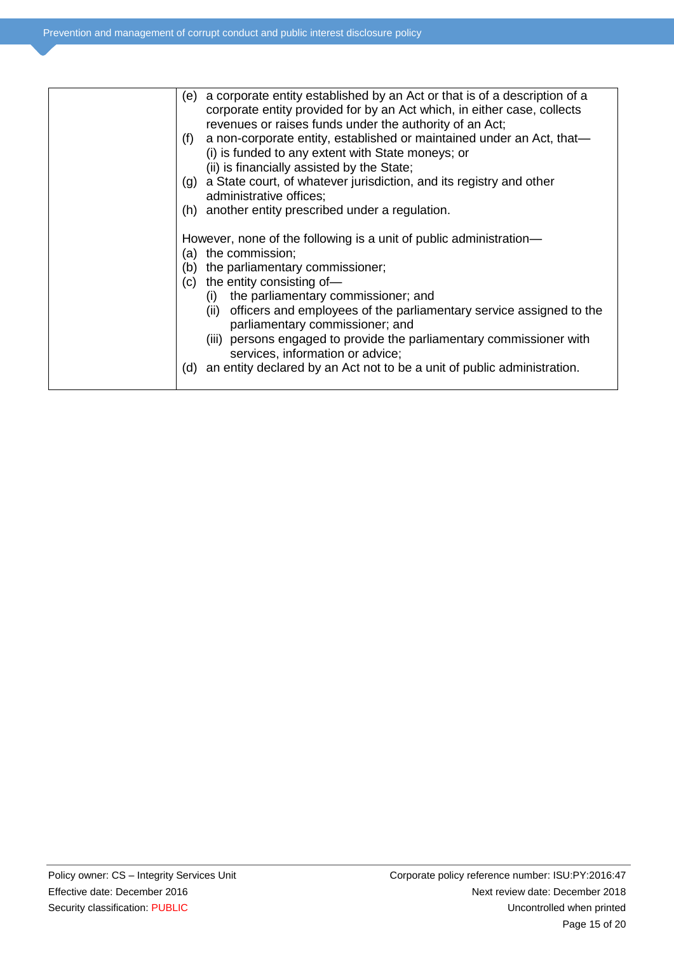| a corporate entity established by an Act or that is of a description of a<br>(e)<br>corporate entity provided for by an Act which, in either case, collects<br>revenues or raises funds under the authority of an Act;<br>a non-corporate entity, established or maintained under an Act, that-<br>(f)<br>(i) is funded to any extent with State moneys; or<br>(ii) is financially assisted by the State;<br>a State court, of whatever jurisdiction, and its registry and other<br>(g)<br>administrative offices;              |
|---------------------------------------------------------------------------------------------------------------------------------------------------------------------------------------------------------------------------------------------------------------------------------------------------------------------------------------------------------------------------------------------------------------------------------------------------------------------------------------------------------------------------------|
|                                                                                                                                                                                                                                                                                                                                                                                                                                                                                                                                 |
| another entity prescribed under a regulation.<br>(h)                                                                                                                                                                                                                                                                                                                                                                                                                                                                            |
| However, none of the following is a unit of public administration—<br>the commission;<br>(a)<br>(b) the parliamentary commissioner;<br>(c) the entity consisting of-<br>the parliamentary commissioner; and<br>(i)<br>(ii) officers and employees of the parliamentary service assigned to the<br>parliamentary commissioner; and<br>(iii) persons engaged to provide the parliamentary commissioner with<br>services, information or advice;<br>an entity declared by an Act not to be a unit of public administration.<br>(d) |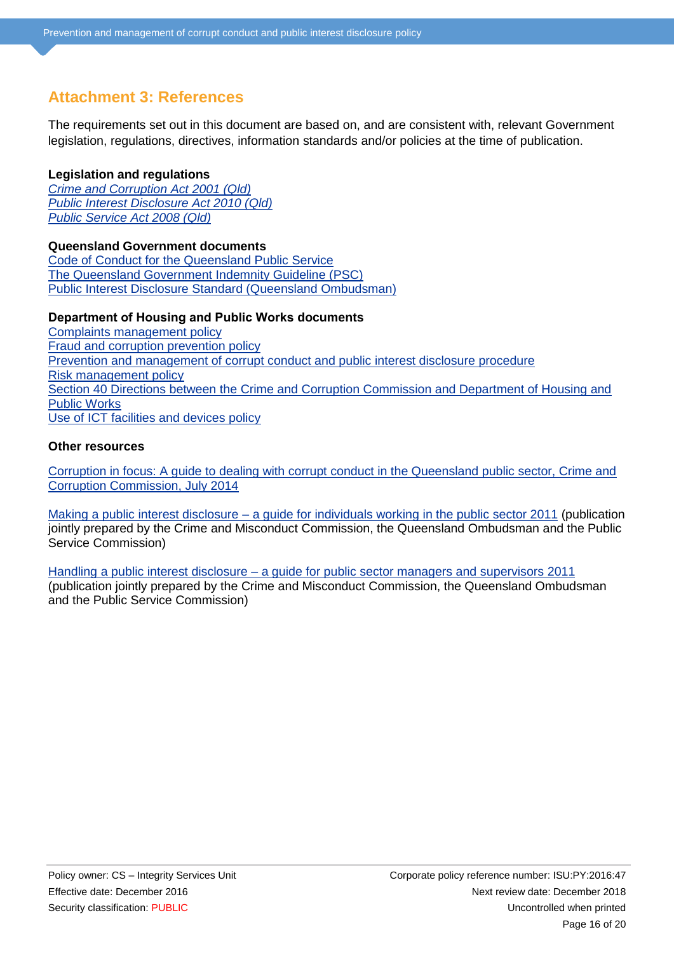## **Attachment 3: References**

The requirements set out in this document are based on, and are consistent with, relevant Government legislation, regulations, directives, information standards and/or policies at the time of publication.

#### **Legislation and regulations**

*[Crime and Corruption Act 2001 \(Qld\)](https://www.legislation.qld.gov.au/LEGISLTN/CURRENT/C/CrimeandCorruptionA01.pdf) [Public Interest Disclosure Act 2010 \(Qld\)](https://www.legislation.qld.gov.au/LEGISLTN/CURRENT/P/PubIntDisA10.pdf) [Public Service Act 2008 \(Qld\)](https://www.legislation.qld.gov.au/LEGISLTN/CURRENT/P/PublicServA08.pdf)*

#### **Queensland Government documents**

[Code of Conduct for the Queensland Public Service](http://www.premiers.qld.gov.au/publications/categories/policies-and-codes/code-of-conduct.aspx) [The Queensland Government Indemnity Guideline \(PSC\)](https://www.qld.gov.au/gov/documents/guideline/queensland-government-indemnity-guideline) [Public Interest Disclosure Standard \(Queensland Ombudsman\)](https://www.ombudsman.qld.gov.au/what-we-do/role-of-the-ombudsman/legislation-and-standard)

#### **Department of Housing and Public Works documents**

[Complaints management policy](https://www.hpw.qld.gov.au/aboutus/Complaints/Pages/Default.aspx) [Fraud and corruption prevention policy](https://www.hpw.qld.gov.au/aboutus/Pages/default.aspx) [Prevention and management of corrupt conduct and public interest disclosure procedure](https://www.hpw.qld.gov.au/aboutus/Complaints/Pages/Default.aspx) [Risk management policy](https://hpwqld.sharepoint.com/sites/intranet/ResourceCentre/PoliciesProcedures/Pages/Risk.aspx) [Section 40 Directions between the Crime and Corruption Commission and Department of Housing and](https://hpwqld.sharepoint.com/sites/intranet/ResourceCentre/PoliciesProcedures/Pages/Integrity.aspx)  [Public Works](https://hpwqld.sharepoint.com/sites/intranet/ResourceCentre/PoliciesProcedures/Pages/Integrity.aspx) [Use of ICT facilities and devices policy](https://hpwqld.sharepoint.com/sites/intranet/ResourceCentre/PoliciesProcedures/Pages/IT.aspx)

#### **Other resources**

[Corruption in focus: A guide to dealing with corrupt conduct in the Queensland public sector, Crime and](http://www.ccc.qld.gov.au/corruption/information-for-the-public-sector/corruption-in-focus)  [Corruption Commission, July 2014](http://www.ccc.qld.gov.au/corruption/information-for-the-public-sector/corruption-in-focus)

Making a public interest disclosure – a quide for individuals working in the public sector 2011 (publication jointly prepared by the Crime and Misconduct Commission, the Queensland Ombudsman and the Public Service Commission)

Handling a public interest disclosure – [a guide for public sector managers and supervisors 2011](https://www.ombudsman.qld.gov.au/improve-public-administration/public-interest-disclosures/public-interest-disclosure-resources/public-interest-disclosure-guides) (publication jointly prepared by the Crime and Misconduct Commission, the Queensland Ombudsman and the Public Service Commission)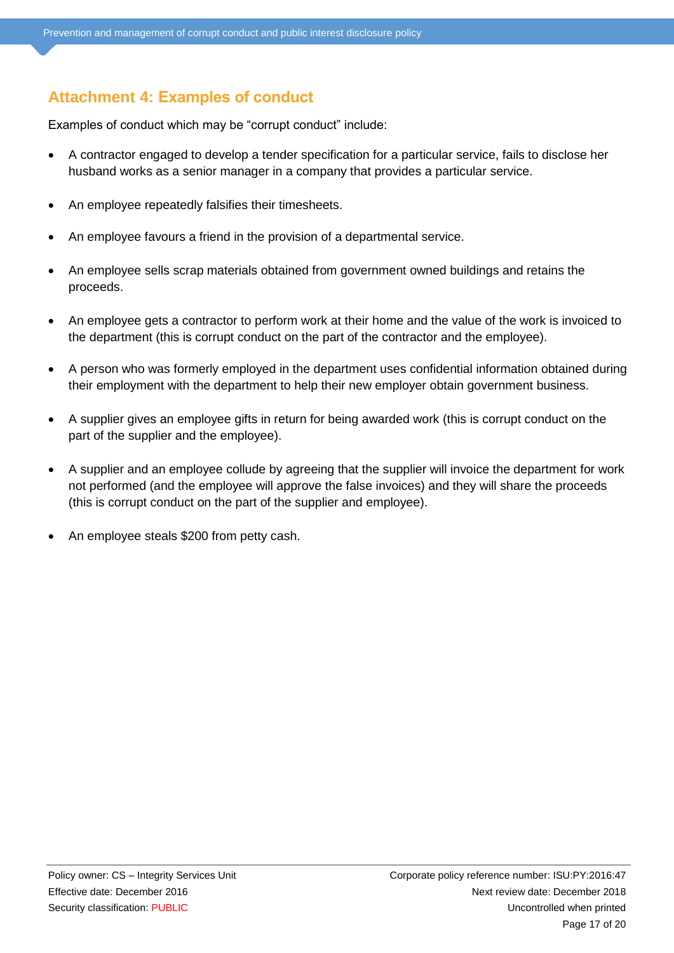## **Attachment 4: Examples of conduct**

Examples of conduct which may be "corrupt conduct" include:

- A contractor engaged to develop a tender specification for a particular service, fails to disclose her husband works as a senior manager in a company that provides a particular service.
- An employee repeatedly falsifies their timesheets.
- An employee favours a friend in the provision of a departmental service.
- An employee sells scrap materials obtained from government owned buildings and retains the proceeds.
- An employee gets a contractor to perform work at their home and the value of the work is invoiced to the department (this is corrupt conduct on the part of the contractor and the employee).
- A person who was formerly employed in the department uses confidential information obtained during their employment with the department to help their new employer obtain government business.
- A supplier gives an employee gifts in return for being awarded work (this is corrupt conduct on the part of the supplier and the employee).
- A supplier and an employee collude by agreeing that the supplier will invoice the department for work not performed (and the employee will approve the false invoices) and they will share the proceeds (this is corrupt conduct on the part of the supplier and employee).
- An employee steals \$200 from petty cash.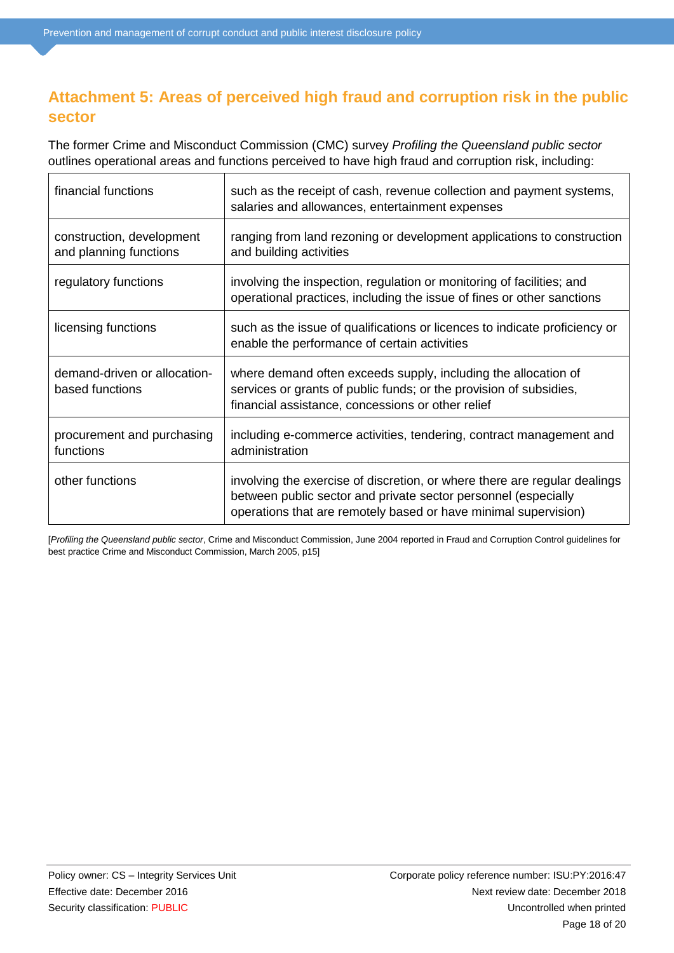## **Attachment 5: Areas of perceived high fraud and corruption risk in the public sector**

The former Crime and Misconduct Commission (CMC) survey *Profiling the Queensland public sector*  outlines operational areas and functions perceived to have high fraud and corruption risk, including:

| financial functions                                 | such as the receipt of cash, revenue collection and payment systems,<br>salaries and allowances, entertainment expenses                                                                                        |
|-----------------------------------------------------|----------------------------------------------------------------------------------------------------------------------------------------------------------------------------------------------------------------|
| construction, development<br>and planning functions | ranging from land rezoning or development applications to construction<br>and building activities                                                                                                              |
| regulatory functions                                | involving the inspection, regulation or monitoring of facilities; and<br>operational practices, including the issue of fines or other sanctions                                                                |
| licensing functions                                 | such as the issue of qualifications or licences to indicate proficiency or<br>enable the performance of certain activities                                                                                     |
| demand-driven or allocation-<br>based functions     | where demand often exceeds supply, including the allocation of<br>services or grants of public funds; or the provision of subsidies,<br>financial assistance, concessions or other relief                      |
| procurement and purchasing<br>functions             | including e-commerce activities, tendering, contract management and<br>administration                                                                                                                          |
| other functions                                     | involving the exercise of discretion, or where there are regular dealings<br>between public sector and private sector personnel (especially<br>operations that are remotely based or have minimal supervision) |

[*Profiling the Queensland public sector*, Crime and Misconduct Commission, June 2004 reported in Fraud and Corruption Control guidelines for best practice Crime and Misconduct Commission, March 2005, p15]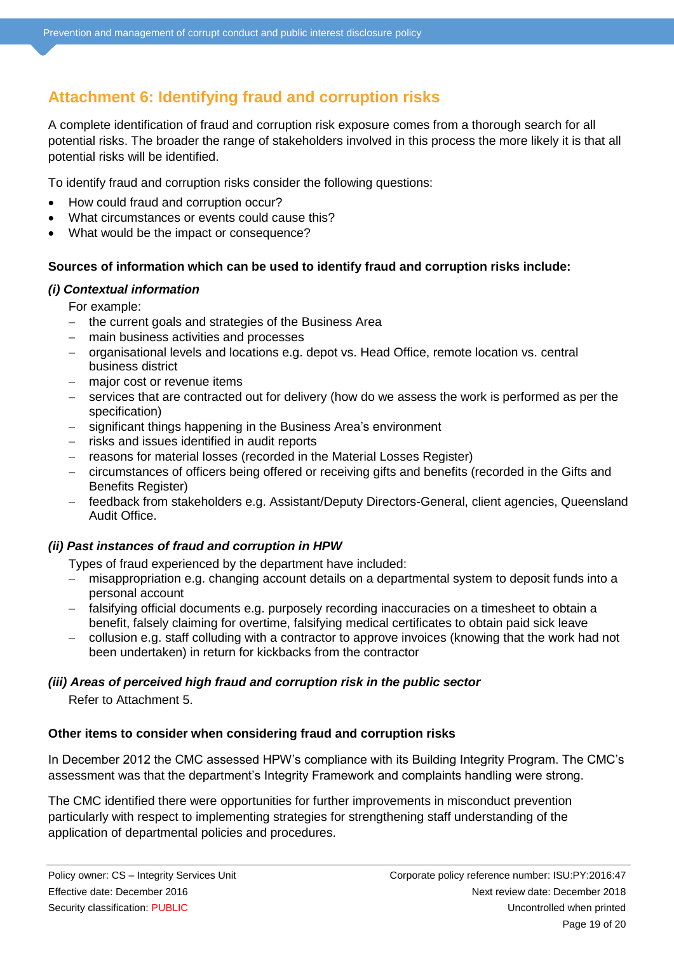## **Attachment 6: Identifying fraud and corruption risks**

A complete identification of fraud and corruption risk exposure comes from a thorough search for all potential risks. The broader the range of stakeholders involved in this process the more likely it is that all potential risks will be identified.

To identify fraud and corruption risks consider the following questions:

- How could fraud and corruption occur?
- What circumstances or events could cause this?
- What would be the impact or consequence?

#### **Sources of information which can be used to identify fraud and corruption risks include:**

#### *(i) Contextual information*

For example:

- $-$  the current goals and strategies of the Business Area
- main business activities and processes
- organisational levels and locations e.g. depot vs. Head Office, remote location vs. central business district
- major cost or revenue items
- $-$  services that are contracted out for delivery (how do we assess the work is performed as per the specification)
- significant things happening in the Business Area's environment
- $-$  risks and issues identified in audit reports
- reasons for material losses (recorded in the Material Losses Register)
- circumstances of officers being offered or receiving gifts and benefits (recorded in the Gifts and Benefits Register)
- feedback from stakeholders e.g. Assistant/Deputy Directors-General, client agencies, Queensland Audit Office.

#### *(ii) Past instances of fraud and corruption in HPW*

Types of fraud experienced by the department have included:

- misappropriation e.g. changing account details on a departmental system to deposit funds into a personal account
- falsifying official documents e.g. purposely recording inaccuracies on a timesheet to obtain a benefit, falsely claiming for overtime, falsifying medical certificates to obtain paid sick leave
- collusion e.g. staff colluding with a contractor to approve invoices (knowing that the work had not been undertaken) in return for kickbacks from the contractor

#### *(iii) Areas of perceived high fraud and corruption risk in the public sector*

Refer to Attachment 5.

#### **Other items to consider when considering fraud and corruption risks**

In December 2012 the CMC assessed HPW's compliance with its Building Integrity Program. The CMC's assessment was that the department's Integrity Framework and complaints handling were strong.

The CMC identified there were opportunities for further improvements in misconduct prevention particularly with respect to implementing strategies for strengthening staff understanding of the application of departmental policies and procedures.